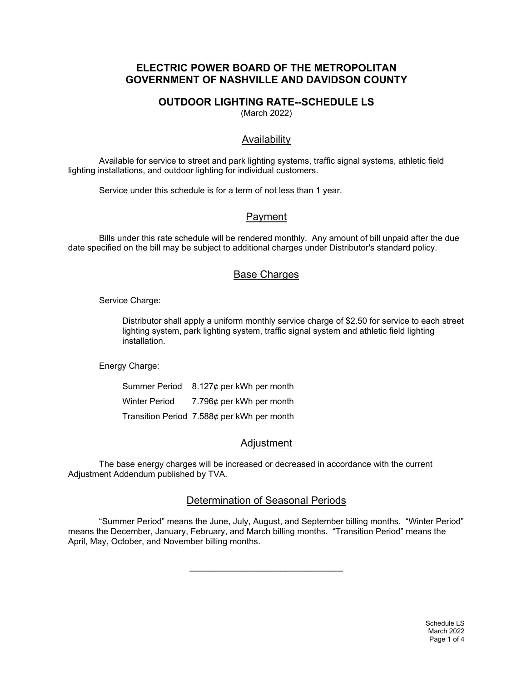# **ELECTRIC POWER BOARD OF THE METROPOLITAN GOVERNMENT OF NASHVILLE AND DAVIDSON COUNTY**

# **OUTDOOR LIGHTING RATE--SCHEDULE LS**

(March 2022)

### Availability

Available for service to street and park lighting systems, traffic signal systems, athletic field lighting installations, and outdoor lighting for individual customers.

Service under this schedule is for a term of not less than 1 year.

# Payment

Bills under this rate schedule will be rendered monthly. Any amount of bill unpaid after the due date specified on the bill may be subject to additional charges under Distributor's standard policy.

### Base Charges

Service Charge:

Distributor shall apply a uniform monthly service charge of \$2.50 for service to each street lighting system, park lighting system, traffic signal system and athletic field lighting installation.

Energy Charge:

|                      | Summer Period $8.127¢$ per kWh per month   |
|----------------------|--------------------------------------------|
| <b>Winter Period</b> | 7.796¢ per kWh per month                   |
|                      | Transition Period 7.588¢ per kWh per month |

# Adjustment

The base energy charges will be increased or decreased in accordance with the current Adjustment Addendum published by TVA.

### Determination of Seasonal Periods

"Summer Period" means the June, July, August, and September billing months. "Winter Period" means the December, January, February, and March billing months. "Transition Period" means the April, May, October, and November billing months.

\_\_\_\_\_\_\_\_\_\_\_\_\_\_\_\_\_\_\_\_\_\_\_\_\_\_\_\_\_\_\_\_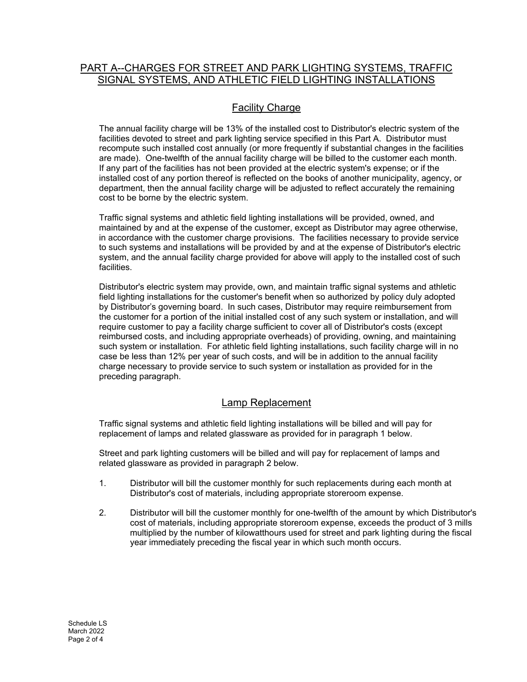# PART A--CHARGES FOR STREET AND PARK LIGHTING SYSTEMS, TRAFFIC SIGNAL SYSTEMS, AND ATHLETIC FIELD LIGHTING INSTALLATIONS

# **Facility Charge**

The annual facility charge will be 13% of the installed cost to Distributor's electric system of the facilities devoted to street and park lighting service specified in this Part A. Distributor must recompute such installed cost annually (or more frequently if substantial changes in the facilities are made). One-twelfth of the annual facility charge will be billed to the customer each month. If any part of the facilities has not been provided at the electric system's expense; or if the installed cost of any portion thereof is reflected on the books of another municipality, agency, or department, then the annual facility charge will be adjusted to reflect accurately the remaining cost to be borne by the electric system.

Traffic signal systems and athletic field lighting installations will be provided, owned, and maintained by and at the expense of the customer, except as Distributor may agree otherwise, in accordance with the customer charge provisions. The facilities necessary to provide service to such systems and installations will be provided by and at the expense of Distributor's electric system, and the annual facility charge provided for above will apply to the installed cost of such facilities.

Distributor's electric system may provide, own, and maintain traffic signal systems and athletic field lighting installations for the customer's benefit when so authorized by policy duly adopted by Distributor's governing board. In such cases, Distributor may require reimbursement from the customer for a portion of the initial installed cost of any such system or installation, and will require customer to pay a facility charge sufficient to cover all of Distributor's costs (except reimbursed costs, and including appropriate overheads) of providing, owning, and maintaining such system or installation. For athletic field lighting installations, such facility charge will in no case be less than 12% per year of such costs, and will be in addition to the annual facility charge necessary to provide service to such system or installation as provided for in the preceding paragraph.

# Lamp Replacement

Traffic signal systems and athletic field lighting installations will be billed and will pay for replacement of lamps and related glassware as provided for in paragraph 1 below.

Street and park lighting customers will be billed and will pay for replacement of lamps and related glassware as provided in paragraph 2 below.

- 1. Distributor will bill the customer monthly for such replacements during each month at Distributor's cost of materials, including appropriate storeroom expense.
- 2. Distributor will bill the customer monthly for one-twelfth of the amount by which Distributor's cost of materials, including appropriate storeroom expense, exceeds the product of 3 mills multiplied by the number of kilowatthours used for street and park lighting during the fiscal year immediately preceding the fiscal year in which such month occurs.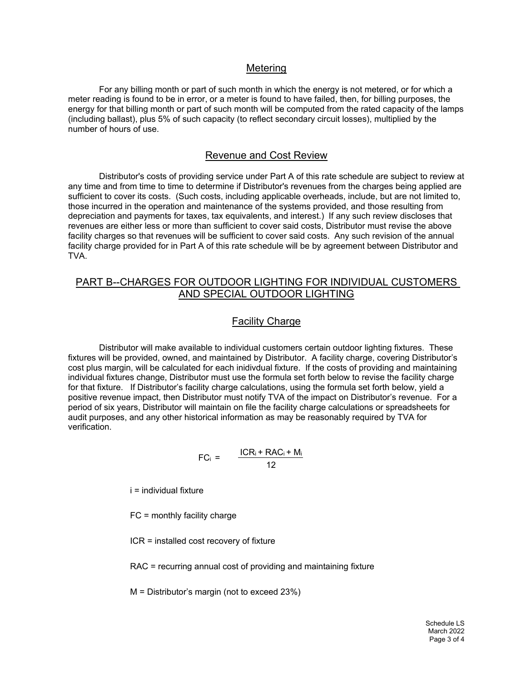#### Metering

For any billing month or part of such month in which the energy is not metered, or for which a meter reading is found to be in error, or a meter is found to have failed, then, for billing purposes, the energy for that billing month or part of such month will be computed from the rated capacity of the lamps (including ballast), plus 5% of such capacity (to reflect secondary circuit losses), multiplied by the number of hours of use.

### Revenue and Cost Review

Distributor's costs of providing service under Part A of this rate schedule are subject to review at any time and from time to time to determine if Distributor's revenues from the charges being applied are sufficient to cover its costs. (Such costs, including applicable overheads, include, but are not limited to, those incurred in the operation and maintenance of the systems provided, and those resulting from depreciation and payments for taxes, tax equivalents, and interest.) If any such review discloses that revenues are either less or more than sufficient to cover said costs, Distributor must revise the above facility charges so that revenues will be sufficient to cover said costs. Any such revision of the annual facility charge provided for in Part A of this rate schedule will be by agreement between Distributor and TVA.

### PART B--CHARGES FOR OUTDOOR LIGHTING FOR INDIVIDUAL CUSTOMERS AND SPECIAL OUTDOOR LIGHTING

### Facility Charge

Distributor will make available to individual customers certain outdoor lighting fixtures. These fixtures will be provided, owned, and maintained by Distributor. A facility charge, covering Distributor's cost plus margin, will be calculated for each inidivdual fixture. If the costs of providing and maintaining individual fixtures change, Distributor must use the formula set forth below to revise the facility charge for that fixture. If Distributor's facility charge calculations, using the formula set forth below, yield a positive revenue impact, then Distributor must notify TVA of the impact on Distributor's revenue. For a period of six years, Distributor will maintain on file the facility charge calculations or spreadsheets for audit purposes, and any other historical information as may be reasonably required by TVA for verification.

$$
FC_i = \frac{ICR_i + RAC_i + M_i}{12}
$$

i = individual fixture

FC = monthly facility charge

ICR = installed cost recovery of fixture

RAC = recurring annual cost of providing and maintaining fixture

M = Distributor's margin (not to exceed 23%)